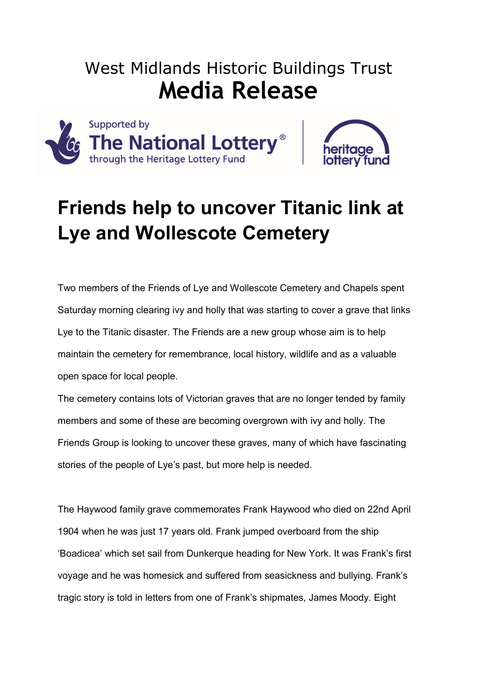# West Midlands Historic Buildings Trust **Media Release**





# **Friends help to uncover Titanic link at Lye and Wollescote Cemetery**

Two members of the Friends of Lye and Wollescote Cemetery and Chapels spent Saturday morning clearing ivy and holly that was starting to cover a grave that links Lye to the Titanic disaster. The Friends are a new group whose aim is to help maintain the cemetery for remembrance, local history, wildlife and as a valuable open space for local people.

The cemetery contains lots of Victorian graves that are no longer tended by family members and some of these are becoming overgrown with ivy and holly. The Friends Group is looking to uncover these graves, many of which have fascinating stories of the people of Lye's past, but more help is needed.

The Haywood family grave commemorates Frank Haywood who died on 22nd April 1904 when he was just 17 years old. Frank jumped overboard from the ship 'Boadicea' which set sail from Dunkerque heading for New York. It was Frank's first voyage and he was homesick and suffered from seasickness and bullying. Frank's tragic story is told in letters from one of Frank's shipmates, James Moody. Eight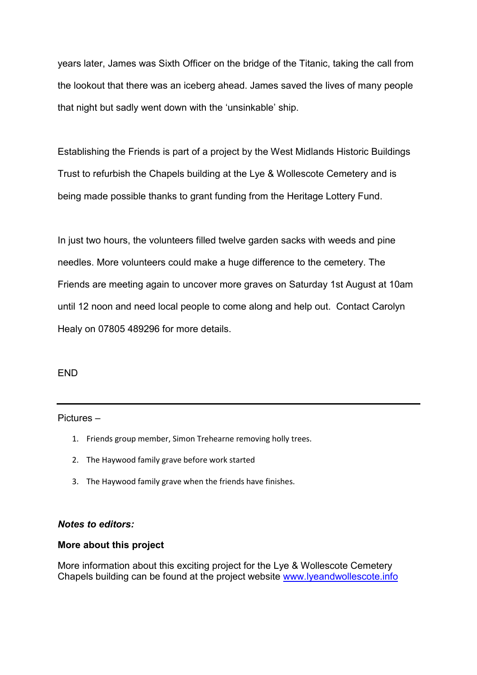years later, James was Sixth Officer on the bridge of the Titanic, taking the call from the lookout that there was an iceberg ahead. James saved the lives of many people that night but sadly went down with the 'unsinkable' ship.

Establishing the Friends is part of a project by the West Midlands Historic Buildings Trust to refurbish the Chapels building at the Lye & Wollescote Cemetery and is being made possible thanks to grant funding from the Heritage Lottery Fund.

In just two hours, the volunteers filled twelve garden sacks with weeds and pine needles. More volunteers could make a huge difference to the cemetery. The Friends are meeting again to uncover more graves on Saturday 1st August at 10am until 12 noon and need local people to come along and help out. Contact Carolyn Healy on 07805 489296 for more details.

#### END

#### Pictures –

- 1. Friends group member, Simon Trehearne removing holly trees.
- 2. The Haywood family grave before work started
- 3. The Haywood family grave when the friends have finishes.

#### *Notes to editors:*

#### **More about this project**

More information about this exciting project for the Lye & Wollescote Cemetery Chapels building can be found at the project website www.lyeandwollescote.info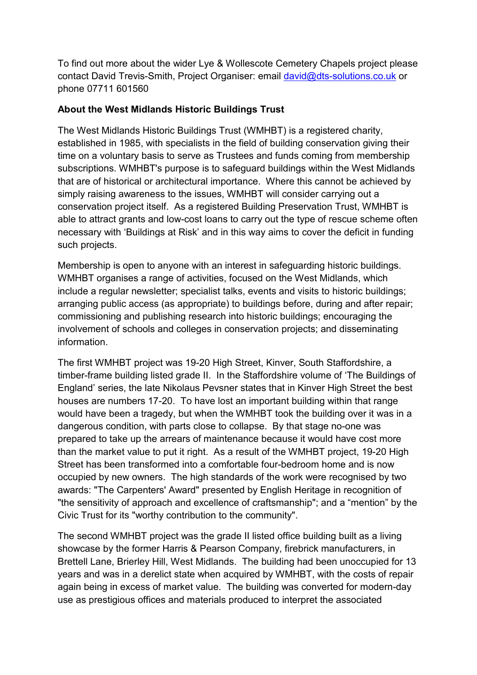To find out more about the wider Lye & Wollescote Cemetery Chapels project please contact David Trevis-Smith, Project Organiser: email david@dts-solutions.co.uk or phone 07711 601560

### **About the West Midlands Historic Buildings Trust**

The West Midlands Historic Buildings Trust (WMHBT) is a registered charity, established in 1985, with specialists in the field of building conservation giving their time on a voluntary basis to serve as Trustees and funds coming from membership subscriptions. WMHBT's purpose is to safeguard buildings within the West Midlands that are of historical or architectural importance. Where this cannot be achieved by simply raising awareness to the issues, WMHBT will consider carrying out a conservation project itself. As a registered Building Preservation Trust, WMHBT is able to attract grants and low-cost loans to carry out the type of rescue scheme often necessary with 'Buildings at Risk' and in this way aims to cover the deficit in funding such projects.

Membership is open to anyone with an interest in safeguarding historic buildings. WMHBT organises a range of activities, focused on the West Midlands, which include a regular newsletter; specialist talks, events and visits to historic buildings; arranging public access (as appropriate) to buildings before, during and after repair; commissioning and publishing research into historic buildings; encouraging the involvement of schools and colleges in conservation projects; and disseminating information.

The first WMHBT project was 19-20 High Street, Kinver, South Staffordshire, a timber-frame building listed grade II. In the Staffordshire volume of 'The Buildings of England' series, the late Nikolaus Pevsner states that in Kinver High Street the best houses are numbers 17-20. To have lost an important building within that range would have been a tragedy, but when the WMHBT took the building over it was in a dangerous condition, with parts close to collapse. By that stage no-one was prepared to take up the arrears of maintenance because it would have cost more than the market value to put it right. As a result of the WMHBT project, 19-20 High Street has been transformed into a comfortable four-bedroom home and is now occupied by new owners. The high standards of the work were recognised by two awards: "The Carpenters' Award" presented by English Heritage in recognition of "the sensitivity of approach and excellence of craftsmanship"; and a "mention" by the Civic Trust for its "worthy contribution to the community".

The second WMHBT project was the grade II listed office building built as a living showcase by the former Harris & Pearson Company, firebrick manufacturers, in Brettell Lane, Brierley Hill, West Midlands. The building had been unoccupied for 13 years and was in a derelict state when acquired by WMHBT, with the costs of repair again being in excess of market value. The building was converted for modern-day use as prestigious offices and materials produced to interpret the associated